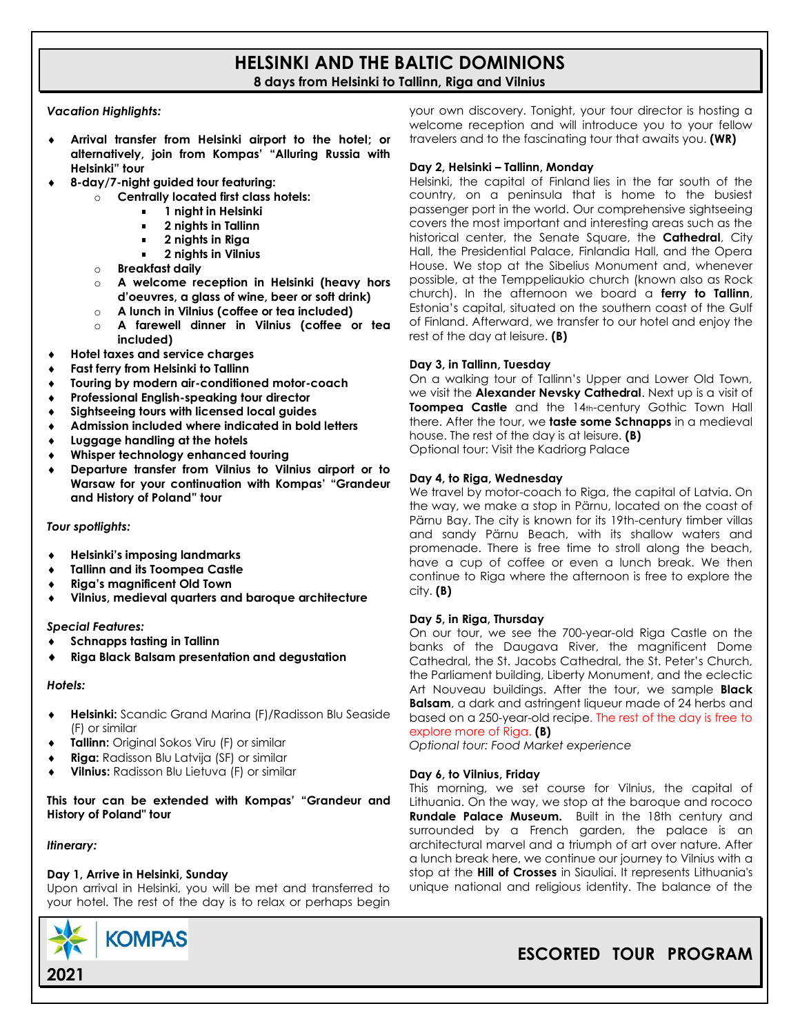# **HELSINKI AND THE BALTIC DOMINIONS 8 days from Helsinki to Tallinn, Riga and Vilnius**

### *Vacation Highlights:*

- **Arrival transfer from Helsinki airport to the hotel; or alternatively, join from Kompas' "Alluring Russia with Helsinki" tour**
- **8-day/7-night guided tour featuring:**
	- o **Centrally located first class hotels:**
		- **1 night in Helsinki**
		- **2 nights in Tallinn**
		- **2 nights in Riga**
		- **2 nights in Vilnius**
	- o **Breakfast daily**
	- o **A welcome reception in Helsinki (heavy hors d'oeuvres, a glass of wine, beer or soft drink)**
	- o **A lunch in Vilnius (coffee or tea included)**
	- o **A farewell dinner in Vilnius (coffee or tea included)**
- **Hotel taxes and service charges**
- **Fast ferry from Helsinki to Tallinn**
- **Touring by modern air-conditioned motor-coach**
- **Professional English-speaking tour director**
- **Sightseeing tours with licensed local guides**
- **Admission included where indicated in bold letters**
- **Luggage handling at the hotels**
- **Whisper technology enhanced touring**
- **Departure transfer from Vilnius to Vilnius airport or to Warsaw for your continuation with Kompas' "Grandeur and History of Poland" tour**

# *Tour spotlights:*

- **Helsinki's imposing landmarks**
- **Tallinn and its Toompea Castle**
- **Riga's magnificent Old Town**
- **Vilnius, medieval quarters and baroque architecture**

#### *Special Features:*

- **Schnapps tasting in Tallinn**
- **Riga Black Balsam presentation and degustation**

#### *Hotels:*

- **Helsinki:** Scandic Grand Marina (F)/Radisson Blu Seaside (F) or similar
- **Tallinn:** Original Sokos Viru (F) or similar
- **Riga:** Radisson Blu Latvija (SF) or similar
- **Vilnius:** Radisson Blu Lietuva (F) or similar

#### **This tour can be extended with Kompas' "Grandeur and History of Poland" tour**

# *Itinerary:*

# **Day 1, Arrive in Helsinki, Sunday**

Upon arrival in Helsinki, you will be met and transferred to your hotel. The rest of the day is to relax or perhaps begin



your own discovery. Tonight, your tour director is hosting a welcome reception and will introduce you to your fellow travelers and to the fascinating tour that awaits you. **(WR)**

#### **Day 2, Helsinki – Tallinn, Monday**

Helsinki, the capital of Finland lies in the far south of the country, on a peninsula that is home to the busiest passenger port in the world. Our comprehensive sightseeing covers the most important and interesting areas such as the historical center, the Senate Square, the **Cathedral**, City Hall, the Presidential Palace, Finlandia Hall, and the Opera House. We stop at the Sibelius Monument and, whenever possible, at the Temppeliaukio church (known also as Rock church). In the afternoon we board a **ferry to Tallinn**, Estonia's capital, situated on the southern coast of the Gulf of Finland. Afterward, we transfer to our hotel and enjoy the rest of the day at leisure. **(B)**

# **Day 3, in Tallinn, Tuesday**

On a walking tour of Tallinn's Upper and Lower Old Town, we visit the **Alexander Nevsky Cathedral**. Next up is a visit of **Toompea Castle** and the 14th-century Gothic Town Hall there. After the tour, we **taste some Schnapps** in a medieval house. The rest of the day is at leisure. **(B)** Optional tour: Visit the Kadriorg Palace

# **Day 4, to Riga, Wednesday**

We travel by motor-coach to Riga, the capital of Latvia. On the way, we make a stop in Pärnu, located on the coast of Pärnu Bay. The city is known for its 19th-century timber villas and sandy Pärnu Beach, with its shallow waters and promenade. There is free time to stroll along the beach, have a cup of coffee or even a lunch break. We then continue to Riga where the afternoon is free to explore the city. **(B)**

#### **Day 5, in Riga, Thursday**

On our tour, we see the 700-year-old Riga Castle on the banks of the Daugava River, the magnificent Dome Cathedral, the St. Jacobs Cathedral, the St. Peter's Church, the Parliament building, Liberty Monument, and the eclectic Art Nouveau buildings. After the tour, we sample **Black Balsam**, a dark and astringent liqueur made of 24 herbs and based on a 250-year-old recipe. The rest of the day is free to explore more of Riga. **(B)**

*Optional tour: Food Market experience* 

# **Day 6, to Vilnius, Friday**

This morning, we set course for Vilnius, the capital of Lithuania. On the way, we stop at the baroque and rococo **Rundale Palace Museum.** Built in the 18th century and surrounded by a French garden, the palace is an architectural marvel and a triumph of art over nature. After a lunch break here, we continue our journey to Vilnius with a stop at the **Hill of Crosses** in Siauliai. It represents Lithuania's unique national and religious identity. The balance of the

# **ESCORTED TOUR PROGRAM**